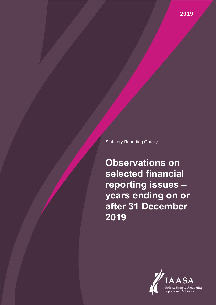Statutory Reporting Quality

**Observations on selected financial reporting issues – years ending on or after 31 December 2019**

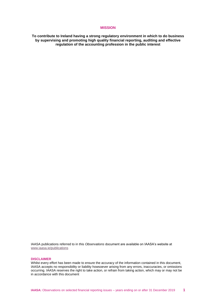### **MISSION**

**To contribute to Ireland having a strong regulatory environment in which to do business by supervising and promoting high quality financial reporting, auditing and effective regulation of the accounting profession in the public interest**

IAASA publications referred to in this *Observations* document are available on IAASA's website at [www.iaasa.ie/publications](file://///iaasadc/group/FRSU/FRSU%20Publications/Obs%20doc%202019/www.iaasa.ie/publications)

#### **DISCLAIMER**

Whilst every effort has been made to ensure the accuracy of the information contained in this document, IAASA accepts no responsibility or liability howsoever arising from any errors, inaccuracies, or omissions occurring. IAASA reserves the right to take action, or refrain from taking action, which may or may not be in accordance with this document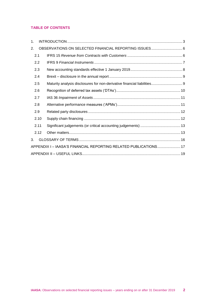# **TABLE OF CONTENTS**

| 1.                                                               |      |                                                                          |  |
|------------------------------------------------------------------|------|--------------------------------------------------------------------------|--|
| 2.                                                               |      | OBSERVATIONS ON SELECTED FINANCIAL REPORTING ISSUES 6                    |  |
|                                                                  | 2.1  |                                                                          |  |
|                                                                  | 2.2  |                                                                          |  |
| 2.3                                                              |      |                                                                          |  |
|                                                                  | 2.4  |                                                                          |  |
|                                                                  | 2.5  | Maturity analysis disclosures for non-derivative financial liabilities 9 |  |
|                                                                  | 2.6  |                                                                          |  |
|                                                                  | 2.7  |                                                                          |  |
|                                                                  | 2.8  |                                                                          |  |
|                                                                  | 2.9  |                                                                          |  |
|                                                                  | 2.10 |                                                                          |  |
| 2.11                                                             |      |                                                                          |  |
|                                                                  | 2.12 |                                                                          |  |
| 3.                                                               |      |                                                                          |  |
| APPENDIX I - IAASA'S FINANCIAL REPORTING RELATED PUBLICATIONS 17 |      |                                                                          |  |
|                                                                  |      |                                                                          |  |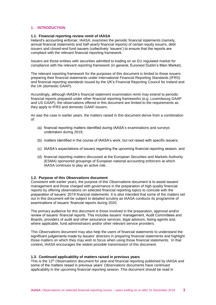# <span id="page-3-0"></span>**1. INTRODUCTION**

### **1.1. Financial reporting review remit of IAASA**

Ireland's accounting enforcer, IAASA, examines the periodic financial statements (namely, annual financial statements and half-yearly financial reports) of certain equity issuers, debt issuers and closed-end fund issuers (collectively 'issuers') to ensure that the reports are compliant with the relevant financial reporting framework.

Issuers are those entities with securities admitted to trading on an EU regulated market for compliance with the relevant reporting framework (in general, Euronext Dublin's Main Market).

The relevant reporting framework for the purposes of this document is limited to those issuers preparing their financial statements under International Financial Reporting Standards (IFRS) and financial reporting standards issued by the UK's Financial Reporting Council for Ireland and the UK (domestic GAAP).

Accordingly, although IAASA's financial statement examination remit may extend to periodic financial reports prepared under other financial reporting frameworks (e.g. Luxembourg GAAP and US GAAP), the observations offered in this document are limited to the requirements as they apply to IFRS and domestic GAAP issuers.

As was the case in earlier years, the matters raised in this document derive from a combination of:

- (a) financial reporting matters identified during IAASA's examinations and surveys undertaken during 2019;
- (b) matters identified in the course of IAASA's work, but not raised with specific issuers;
- (c) IAASA's expectations of issuers regarding the upcoming financial reporting season; and
- (d) financial reporting matters discussed at the European Securities and Markets Authority (ESMA) sponsored groupings of European national accounting enforcers at which IAASA continues to play an active role.

#### **1.2. Purpose of this** *Observations* **document**

Consistent with earlier years, the purpose of this *Observation*s document is to assist issuers' management and those charged with governance in the preparation of high quality financial reports by offering observations on selected financial reporting topics to coincide with the preparation of issuers' 2019 financial statements. It is also intended that some of the matters set out in this document will be subject to detailed scrutiny as IAASA conducts its programme of examinations of issuers' financial reports during 2020.

The primary audience for this document is those involved in the preparation, approval and/or review of issuers' financial reports. This includes issuers' management, Audit Committees and Boards, providers of audit and other assurance services, legal advisors, listing agents and, where applicable, fund administrators and/or other relevant service providers.

This *Observations* document may also help the users of financial statements to understand the significant judgements made by issuers' directors in preparing financial statements and highlight those matters on which they may wish to focus when using those financial statements. In that context, IAASA encourages the widest possible transmission of this document.

## **1.3. Continued applicability of matters raised in previous years**

This is the 12th *Observations* document for year-end financial reporting published by IAASA and some of the matters raised in previous years' *Observations* documents have continued applicability in the upcoming financial reporting season. This document should be read in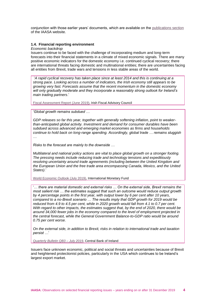conjunction with those earlier years' documents, which are available on the [publications section](http://www.iaasa.ie/Publications/Financial-Reporting-Supervision) of the IAASA website.

### **1.4. Financial reporting environment**

#### *Economic backdrop*

Issuers continue to be faced with the challenge of incorporating medium and long-term forecasts into their financial statements in a climate of mixed economic signals. There are many positive economic indicators for the domestic economy i.e. continued cyclical recovery; there are international threats facing domestic and multinational entities; there are uncertainties facing all entities from Brexit, trade wars and tensions in less stable areas of the world.

'*A rapid cyclical recovery has taken place since at least 2014 and this is continuing at a strong pace. Looking across a number of indicators, the Irish economy still appears to be growing very fast. Forecasts assume that the recent momentum in the domestic economy will only gradually moderate and they incorporate a reasonably strong outlook for Ireland's main trading partners*.'

[Fiscal Assessment Report \(June 2019\),](http://www.irisheconomy.ie/index.php/category/economic-performance/) Irish Fiscal Advisory Council

'*Global growth remains subdued …* 

*GDP releases so far this year, together with generally softening inflation, point to weakerthan-anticipated global activity. Investment and demand for consumer durables have been subdued across advanced and emerging market economies as firms and households continue to hold back on long-range spending. Accordingly, global trade … remains sluggish …* 

*Risks to the forecast are mainly to the downside …*

*Multilateral and national policy actions are vital to place global growth on a stronger footing. The pressing needs include reducing trade and technology tensions and expeditiously resolving uncertainty around trade agreements (including between the United Kingdom and the European Union and the free trade area encompassing Canada, Mexico, and the United States).*'

[World Economic Outlook \(July 2019\),](https://www.imf.org/en/Publications/WEO/Issues/2019/07/18/WEOupdateJuly2019) International Monetary Fund

'*… there are material domestic and external risks … On the external side, Brexit remains the most salient risk … the estimates suggest that such an outcome would reduce output growth by 4 percentage points in the first year, with output lower by 6 per cent after 10 years, compared to a no-Brexit scenario … The results imply that GDP growth for 2019 would be*  reduced from 4.9 to 4.5 per cent, while in 2020 growth would fall from 4.1 to 0.7 per cent. *With regard to other impacts, the estimates suggest that, by the end of 2020, there would be around 34,000 fewer jobs in the economy compared to the level of employment projected in the central forecast, while the General Government Balance-to-GDP ratio would be around 0.75 per cent worse.*

*On the external side, in addition to Brexit, risks in relation to international trade and taxation persist …*'

*[Quarterly Bulletin QB3 –](https://www.centralbank.ie/docs/default-source/publications/quarterly-bulletins/quarterly-bulletin-q3-2019.pdf) July 2019*, Central Bank of Ireland

Issuers face unknown economic, political and social threats and uncertainties because of Brexit and heightened protectionist policies, particularly in the USA which continues to be Ireland's largest export market.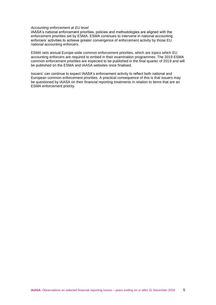#### *Accounting enforcement at EU level*

IAASA's national enforcement priorities, policies and methodologies are aligned with the enforcement priorities set by ESMA. ESMA continues to intervene in national accounting enforcers' activities to achieve greater convergence of enforcement activity by those EU national accounting enforcers.

ESMA sets annual Europe-wide common enforcement priorities, which are topics which EU accounting enforcers are required to embed in their examination programmes. The 2019 ESMA common enforcement priorities are expected to be published in the final quarter of 2019 and will be published on the ESMA and IAASA websites once finalised.

Issuers' can continue to expect IAASA's enforcement activity to reflect both national and European common enforcement priorities. A practical consequence of this is that issuers may be questioned by IAASA on their financial reporting treatments in relation to items that are an ESMA enforcement priority.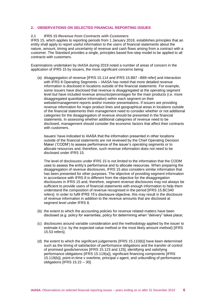# <span id="page-6-0"></span>**2. OBSERVATIONS ON SELECTED FINANCIAL REPORTING ISSUES**

### <span id="page-6-1"></span>**2.1 IFRS 15** *Revenue from Contracts with Customers*

IFRS 15, which applies to reporting periods from 1 January 2018, establishes principles that an entity shall apply to report useful information to the users of financial statements about the nature, amount, timing and uncertainty of revenue and cash flows arising from a contract with a customer. The Standard provides a single, principles based five-step model to be applied to all contracts with customers.

Examinations undertaken by IAASA during 2019 noted a number of areas of concern in the application of IFRS 15 by issuers, the more significant concerns being:

(a) disaggregation of revenue [IFRS 15.114 and IFRS 15.B87 –B89 refer] and interaction with IFRS 8 Operating Segments - IAASA has noted that more detailed revenue information is disclosed in locations outside of the financial statements For example, some issuers have disclosed that revenue is disaggregated at the operating segment level but have included revenue amounts/percentages for the main products (i.e. more disaggregated quantitative information) within each segment on their website/management reports and/or investor presentations. If issuers are providing revenue information for major product lines and geographical areas in locations outside of the financial statements then management need to consider whether or not additional categories for the disaggregation of revenue should be presented in the financial statements. In assessing whether additional categories of revenue need to be disclosed, management should consider the economic factors that affect their contracts with customers.

Issuers' have indicated to IAASA that the information presented in other locations outside of the financial statements are not reviewed by the Chief Operating Decision Maker ('CODM') to assess performance of the issuer's operating segments or to allocate resources and, therefore, such revenue information does not need to be disclosed under IFRS 15.

The level of disclosures under IFRS 15 is not limited to the information that the CODM uses to assess the entity's performance and to allocate resources. When preparing the disaggregation of revenue disclosures, IFRS 15 also considers similar information that has been presented for other purposes. The objective of providing segment information in accordance with IFRS 8 is different from the objective for the disaggregation disclosures in IFRS 15 and, therefore, segment revenue disclosures may not always be sufficient to provide users of financial statements with enough information to help them understand the composition of revenue recognised in the period [IFRS 15.BC340 refers]. In order to fulfil IFRS 15's disclosure objective, this may result in the disclosure of revenue information in addition to the revenue amounts that are disclosed at segment level under IFRS 8.

- (b) the extent to which the accounting policies for revenue related matters have been disclosed (e.g. policy for warranties, policy for determining when "delivery" takes place;
- (c) disclosures around variable consideration and the methodology applied by the issuer to estimate it (i.e. by the expected value method or the most likely amount method) [IFRS 15.53 refers];
- (d) the extent to which the significant judgements [IFRS 15.110(b)] have been determined such as the timing of satisfaction of performance obligations and the transfer of control of promised goods/services [IFRS 15.123 and 125], identifying and satisfying performance obligations [IFRS 15.119(a)], significant financing components [IFRS 15.119(b)], point-in-time v overtime, principal v agent, and unbundling of performance obligations [IFRS 15.22 – 30].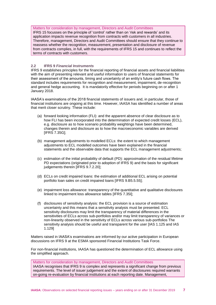# Matters for consideration by management, Directors and Audit Committees

IFRS 15 focusses on the principle of 'control' rather than on 'risk and rewards' and its application impacts revenue recognition from contracts with customers in all industries. Therefore, management, Directors and Audit Committees should ensure that they continue to reassess whether the recognition, measurement, presentation and disclosure of revenue from contracts complies, in full, with the requirements of IFRS 15 and continues to reflect the terms of contracts with customers.

# <span id="page-7-0"></span>**2.2 IFRS 9** *Financial Instruments*

IFRS 9 establishes principles for the financial reporting of financial assets and financial liabilities with the aim of presenting relevant and useful information to users of financial statements for their assessment of the amounts, timing and uncertainty of an entity's future cash flows. The standard includes requirements for recognition and measurement, impairment, de-recognition and general hedge accounting. It is mandatorily effective for periods beginning on or after 1 January 2018.

IAASA's examinations of the 2018 financial statements of issuers and, in particular, those of financial institutions are ongoing at this time. However, IAASA has identified a number of areas that merit closer scrutiny. These include:

- (a) forward looking information (FLI): and the apparent absence of clear disclosure as to how FLI has been incorporated into the determination of expected credit losses (ECL), e.g. disclosure as to how scenario probability weightings have been determined, changes therein and disclosure as to how the macroeconomic variables are derived [IFRS 7.35G];
- (b) management adjustments to modelled ECLs: the extent to which management adjustments to ECL modelled outcomes have been explained in the financial statements and the observable data that supports the ECL management adjustments;
- (c) estimation of the initial probability of default (PD): approximation of the residual lifetime PD expectations (originated prior to adoption of IFRS 9) and the basis for significant judgements therein [IFRS 9.7.2.20];
- (d) ECLs on credit impaired loans: the estimation of additional ECL arising on potential portfolio loan sales on credit impaired loans [IFRS 9.B5.5.55];
- (e) impairment loss allowance: transparency of the quantitative and qualitative disclosures linked to impairment loss allowance tables [IFRS 7.35I];
- (f) disclosures of sensitivity analysis: the ECL provision is a source of estimation uncertainty and this means that a sensitivity analysis must be presented. ECL sensitivity disclosures may limit the transparency of material differences in the sensitivities of ECLs across sub-portfolios and/or may limit transparency of variances or non-linearity observed in the sensitivity of ECLs across various sub-portfolios The sensitivity analysis should be useful and transparent for the user [IAS 1.125 and IAS 1.129]

Matters raised in IAASA's examinations are informed by our active participation in European discussions on IFRS 9 at the ESMA sponsored Financial Institutions Task Force.

For non-financial institutions, IAASA has questioned the determination of ECL allowance using the simplified approach.

Matters for consideration by management, Directors and Audit Committees IAASA recognises that IFRS 9 is complex and represents a significant change from previous requirements. The level of issuer judgement and the extent of disclosures required warrants on-going re-evaluation by financial institutions at each reporting date. Management,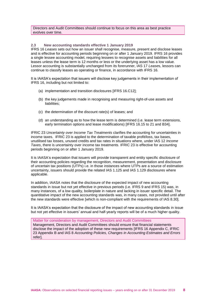Directors and Audit Committees should continue to focus on this area as best practice evolves over time.

# <span id="page-8-0"></span>**2.3 New accounting standards effective 1 January 2019**

IFRS 16 *Leases* sets out how an issuer shall recognise, measure, present and disclose leases and is effective for accounting periods beginning on or after 1 January 2019. IFRS 16 provides a single lessee accounting model, requiring lessees to recognise assets and liabilities for all leases unless the lease term is 12 months or less or the underlying asset has a low value. Lessor accounting is substantially unchanged from its forerunner, IAS 17 *Lease*s, lessors can continue to classify leases as operating or finance, in accordance with IFRS 16.

It is IAASA's expectation that issuers will disclose key judgements in their implementation of IFRS 16, including but not limited to:

- (a) implementation and transition disclosures [IFRS 16.C12];
- (b) the key judgements made in recognising and measuring right-of-use assets and liabilities;
- (c) the determination of the discount rate(s) of leases; and
- (d) an understanding as to how the lease term is determined (i.e. lease term extensions, early termination options and lease modifications) [IFRS 16.15 to 21 and B34].

IFRIC 23 *Uncertainty over Income Tax Treatments* clarifies the accounting for uncertainties in income taxes. IFRIC 23 is applied to the determination of taxable profit/loss, tax bases, unutilised tax losses, unused credits and tax rates in situations where, under IAS 12 *Income Taxes*, there is uncertainty over income tax treatments. IFRIC 23 is effective for accounting periods beginning on or after 1 January 2019.

It is IAASA's expectation that issuers will provide transparent and entity specific disclosure of their accounting policies regarding the recognition, measurement, presentation and disclosure of uncertain tax positions (UTPs) i.e. in those instances where UTPs are a source of estimation uncertainty, issuers should provide the related IAS 1.125 and IAS 1.129 disclosures where applicable.

In addition, IAASA notes that the disclosure of the expected impact of new accounting standards in issue but not yet effective in previous periods (i.e. IFRS 9 and IFRS 15) was, in many instances, of a low quality, boilerplate in nature and lacking in issuer specific detail. The quantitative impact of the new accounting standards was, in many cases, not provided until after the new standards were effective [which is non-compliant with the requirements of IAS 8.30].

It is IAASA's expectation that the disclosure of the impact of new accounting standards in issue but not yet effective in issuers' annual and half-yearly reports will be of a much higher quality.

Matter for consideration by management, Directors and Audit Committees Management, Directors and Audit Committees should ensure that financial statements disclose the impact of the adoption of these new requirements [IFRS 16 Appendix C, IFRIC 23 Appendix B and IAS 8 *Accounting Policies, Changes in Accounting Estimates and Errors* refer].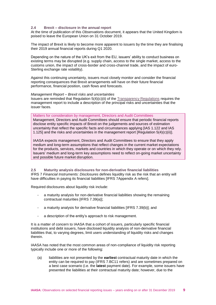## <span id="page-9-0"></span>**2.4 Brexit – disclosure in the annual report**

At the time of publication of this *Observation*s document, it appears that the United Kingdom is poised to leave the European Union on 31 October 2019.

The impact of Brexit is likely to become more apparent to issuers by the time they are finalising their 2019 annual financial reports during Q1 2020.

Depending on the nature of the UK's exit from the EU, issuers' ability to conduct business on existing terms may be disrupted (e.g. supply chain, access to the single market, access to the customs union, the impact of cross-border and cross-channel trade, and the impact of euro-Sterling exchange rate volatility).

Against this continuing uncertainty, issuers must closely monitor and consider the financial reporting consequences that Brexit arrangements will have on their future financial performance, financial position, cash flows and forecasts.

#### *Management Report – Brexit risks and uncertainties*

Issuers are reminded that Regulation 5(4)(c)(ii) of the [Transparency Regulations](http://www.irishstatutebook.ie/eli/2007/si/277/made/en/pdf) requires the management report to include a description of the principal risks and uncertainties that the issuer faces.

Matters for consideration by management, Directors and Audit Committees Management, Directors and Audit Committees should ensure that periodic financial reports disclose entity specific impacts of Brexit on the judgements and sources of estimation uncertainty that reflect the specific facts and circumstances applying [IAS 1.122 and IAS 1.125] and the risks and uncertainties in the management report  $[Regulation 5(4)(c)(ii)].$ 

IAASA expects management, Directors and Audit Committees to ensure that they apply medium and long-term assumptions that reflect changes in the current market expectations for the products, services, markets and countries in which they operate or on which they rely. Issuers' medium and long-term key assumptions need to reflect on-going market uncertainty and possible future market disruption.

<span id="page-9-1"></span>**2.5 Maturity analysis disclosures for non-derivative financial liabilities** IFRS 7 *Financial Instruments: Disclosures* defines liquidity risk as the risk that an entity will have difficulties in paying its financial liabilities [IFRS 7Appendix A refers].

Required disclosures about liquidity risk include:

- a maturity analysis for non-derivative financial liabilities showing the remaining contractual maturities [IFRS 7.39(a)];
- a maturity analysis for derivative financial liabilities [IFRS 7.39(b)]; and
- a description of the entity's approach to risk management.

It is a matter of concern to IAASA that a cohort of issuers, particularly specific financial institutions and debt issuers, have disclosed liquidity analysis of non-derivative financial liabilities that, to varying degrees, limit users understanding of liquidity risks and changes therein.

IAASA has noted that the most common areas of non-compliance of liquidity risk reporting typically include one or more of the following:

(a) liabilities are not presented by the **earliest** contractual maturity date in which the entity can be required to pay (IFRS 7.BC11 refers) and are sometimes prepared on a best case scenario (i.e. the **latest** payment date). For example, some issuers have presented the liabilities at their contractual maturity date; however, due to the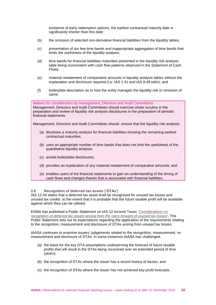existence of early redemption options, the earliest contractual maturity date is significantly shorter than this date;

- (b) the omission of selected non-derivative financial liabilities from the liquidity tables;
- (c) presentation of too few time bands and inappropriate aggregation of time bands that limits the usefulness of the liquidity analysis;
- (d) time bands for financial liabilities maturities presented in the liquidity risk analysis table being inconsistent with cash flow patterns observed in the Statement of Cash Flows;
- (e) material restatement of comparative amounts in liquidity analysis tables without the explanation and disclosure required (i.e. IAS 1.41 and IAS 8.49 refer); and
- (f) boilerplate description as to how the entity manages the liquidity risk or omission of same.

Matters for consideration by management, Directors and Audit Committees Management, Directors and Audit Committees should exercise closer scrutiny in the preparation and review of liquidity risk analysis disclosures in the preparation of periodic financial statements.

Management, Directors and Audit Committees should ensure that the liquidity risk analysis:

- (a) discloses a maturity analysis for financial liabilities showing the remaining earliest contractual maturities;
- (b) uses an appropriate number of time bands that does not limit the usefulness of the quantitative liquidity analysis;
- (c) avoids boilerplate disclosures;
- (d) provides an explanation of any material restatement of comparative amounts; and
- (e) enables users of the financial statements to gain an understanding of the timing of cash flows and changes therein that is associated with financial liabilities.

## <span id="page-10-0"></span>**2.6 Recognition of deferred tax assets ('DTAs')**

IAS 12.34 states that a deferred tax asset shall be recognised for unused tax losses and unused tax credits to the extent that it is probable that the future taxable profit will be available against which they can be utilised.

ESMA has published a Public Statement on IAS 12 Income Taxes '*[Considerations on](https://www.esma.europa.eu/press-news/esma-news/esma-sets-out-expectations-regarding-application-ias-12)  [recognition of deferred tax assets arising from the carry-forward of unused tax losses](https://www.esma.europa.eu/press-news/esma-news/esma-sets-out-expectations-regarding-application-ias-12)*', The Public Statement sets out its expectations regarding the application of the requirements relating to the recognition, measurement and disclosure of DTAs arising from unused tax losses.

IAASA continues to examine issuers' judgements related to the recognition, measurement, remeasurement and disclosure of DTAs. In some instances IAASA has challenged:

- (a) the basis for the key DTA assumptions underpinning the forecast of future taxable profits that will result in the DTAs being recovered over an extended period of time (years);
- (b) the recognition of DTAs where the issuer has a recent history of losses; and
- (c) the recognition of DTAs where the issuer has not achieved key profit forecasts.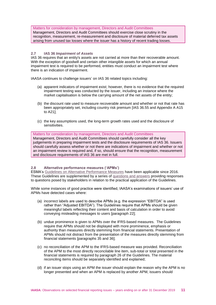Matters for consideration by management, Directors and Audit Committees Management, Directors and Audit Committees should exercise close scrutiny in the recognition, measurement, re-measurement and disclosure of material deferred tax assets arising from unused tax losses where the issuer has a history of recent trading losses.

# <span id="page-11-0"></span>**2.7 IAS 36** *Impairment of Assets*

IAS 36 requires that an entity's assets are not carried at more than their recoverable amount. With the exception of goodwill and certain other intangible assets for which an annual impairment test is required to be performed, entities must conduct an impairment test where there is an indication of impairment.

IAASA continues to challenge issuers' on IAS 36 related topics including:

- (a) apparent indicators of impairment exist; however, there is no evidence that the required impairment testing was conducted by the issuer, including an instance where the market capitalisation is below the carrying amount of the net assets of the entity;
- (b) the discount rate used to measure recoverable amount and whether or not that rate has been appropriately set, including country risk premium [IAS 36.55 and Appendix A A15 to A21];
- (c) the key assumptions used, the long-term growth rates used and the disclosure of sensitivities.

## Matters for consideration by management, Directors and Audit Committees

Management, Directors and Audit Committees should carefully consider all the key judgements in preparing impairment tests and the disclosure requirements of IAS 36. Issuers should carefully assess whether or not there are indications of impairment and whether or not an impairment review is required and, if so, should ensure that the recognition, measurement and disclosure requirements of IAS 36 are met in full.

# <span id="page-11-1"></span>**2.8 Alternative performance measures ('APMs')**

ESMA's [Guidelines on Alternative Performance Measures](https://www.esma.europa.eu/sites/default/files/library/2015/10/2015-esma-1415en.pdf) have been applicable since 2016. These Guidelines are supplemented by a series of [questions and answers](https://www.esma.europa.eu/sites/default/files/library/esma32-51-370_qas_on_esma_guidelines_on_apms.pdf) providing responses to questions posed by stakeholders in relation to the practical application of the Guidelines.

While some instances of good practice were identified, IAASA's examinations of issuers' use of APMs have detected cases where:

- (a) incorrect labels are used to describe APMs (e.g. the expression "EBITDA" is used rather than "Adjusted EBITDA"). The Guidelines require that APMs should be given meaningful labels reflecting their content and basis of calculation in order to avoid conveying misleading messages to users [paragraph 22];
- (b) undue prominence is given to APMs over the IFRS-based measures. The Guidelines require that APMs should not be displayed with more prominence, emphasis or authority than measures directly stemming from financial statements. Presentation of APMs should not distract from the presentation of the measures directly stemming from financial statements [paragraphs 35 and 36];
- (c) no reconciliation of the APM to the IFRS-based measure was provided. Reconciliation of the APM to the most directly reconcilable line item, sub-total or total presented in the financial statements is required by paragraph 26 of the Guidelines. The material reconciling items should be separately identified and explained;
- (d) if an issuer stops using an APM the issuer should explain the reason why the APM is no longer presented and when an APM is replaced by another APM, issuers should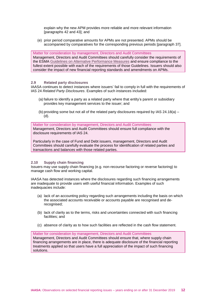explain why the new APM provides more reliable and more relevant information [paragraphs 42 and 43]; and

(e) prior period comparative amounts for APMs are not presented. APMs should be accompanied by comparatives for the corresponding previous periods [paragraph 37].

Matter for consideration by management, Directors and Audit Committees Management, Directors and Audit Committees should carefully consider the requirements of the ESMA [Guidelines on Alternative Performance Measures](https://www.esma.europa.eu/sites/default/files/library/2015/10/2015-esma-1415en.pdf) and ensure compliance to the fullest extent possible with each of the requirements of those Guidelines. Issuers should also consider the impact of new financial reporting standards and amendments on APMs.

### <span id="page-12-0"></span>**2.9 Related party disclosures**

IAASA continues to detect instances where issuers' fail to comply in full with the requirements of IAS 24 *Related Party Disclosures*. Examples of such instances included:

- (a) failure to identify a party as a related party where that entity's parent or subsidiary provides key management services to the issuer; and
- (b) providing some but not all of the related party disclosures required by IAS  $24.18(a)$  (d).

Matter for consideration by management, Directors and Audit Committees Management, Directors and Audit Committees should ensure full compliance with the disclosure requirements of IAS 24.

Particularly in the case of Fund and Debt issuers, management, Directors and Audit Committees should carefully evaluate the process for identification of related parties and transactions and balances with those related parties.

## <span id="page-12-1"></span>**2.10 Supply chain financing**

Issuers may use supply chain financing (e.g. non-recourse factoring or reverse factoring) to manage cash flow and working capital.

IAASA has detected instances where the disclosures regarding such financing arrangements are inadequate to provide users with useful financial information. Examples of such inadequacies include:

- (a) lack of an accounting policy regarding such arrangements including the basis on which the associated accounts receivable or accounts payable are recognised and derecognised;
- (b) lack of clarity as to the terms, risks and uncertainties connected with such financing facilities; and
- (c) absence of clarity as to how such facilities are reflected in the cash flow statement.

Matter for consideration by management, Directors and Audit Committees Management, Directors and Audit Committees should ensure that, where supply chain financing arrangements are in place, there is adequate disclosure of the financial reporting treatments applied so that users have a full appreciation of the impact of such financing solutions.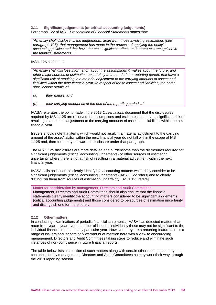<span id="page-13-0"></span>**2.11 Significant judgements (or critical accounting judgements)** Paragraph 122 of IAS 1 *Presentation of Financial Statements* states that:

'*An entity shall disclose … the judgements, apart from those involving estimations (see paragraph 125), that management has made in the process of applying the entity's accounting policies and that have the most significant effect on the amounts recognised in the financial statements …*'

IAS 1.125 states that:

'*An entity shall disclose information about the assumptions it makes about the future, and other major sources of estimation uncertainty at the end of the reporting period, that have a significant risk of resulting in a material adjustment to the carrying amounts of assets and liabilities within the next financial year. In respect of those assets and liabilities, the notes shall include details of:*

*(a) their nature, and*

*(b) their carrying amount as at the end of the reporting period …*'

IAASA reiterates the point made in the 2018 *Observations* document that the disclosures required by IAS 1.125 are reserved for assumptions and estimates that have a significant risk of resulting in a material adjustment to the carrying amounts of assets and liabilities within the next financial year.

Issuers should note that items which would not result in a material adjustment to the carrying amount of the asset/liability within the next financial year do not fall within the scope of IAS 1.125 and, therefore, may not warrant disclosure under that paragraph.

The IAS 1.125 disclosures are more detailed and burdensome than the disclosures required for significant judgements (critical accounting judgements) or other sources of estimation uncertainty where there is not at risk of resulting in a material adjustment within the next financial year.

IAASA calls on issuers to clearly identify the accounting matters which they consider to be significant judgements (critical accounting judgements) [IAS 1.122 refers] and to clearly distinguish them from sources of estimation uncertainty [IAS 1.125 refers].

Matter for consideration by management, Directors and Audit Committees

Management, Directors and Audit Committees should also ensure that the financial statements clearly identify the accounting matters considered to be significant judgements (critical accounting judgements) and those considered to be sources of estimation uncertainty and distinguish one form the other.

## <span id="page-13-1"></span>**2.12 Other matters**

In conducting examinations of periodic financial statements, IAASA has detected matters that recur from year to year over a number of issuers; individually these may not be significant to the individual financial reports in any particular year. However, they are a recurring feature across a range of issuers and, accordingly warrant brief mention here with a view to encouraging management, Directors and Audit Committees taking steps to reduce and eliminate such instances of non-compliance in future financial reports.

The table below lists a selection of such matters along with certain other matters that may merit consideration by management, Directors and Audit Committees as they work their way through the 2019 reporting season.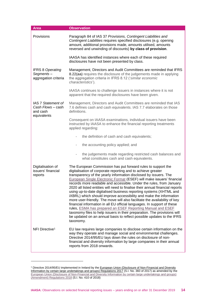| <b>Area</b>                                                        | <b>Observation</b>                                                                                                                                                                                                                                                                                                                                                                                                                                                                                                                                                                                                                                                                                                                                                                                                                                                                                                                                                    |  |
|--------------------------------------------------------------------|-----------------------------------------------------------------------------------------------------------------------------------------------------------------------------------------------------------------------------------------------------------------------------------------------------------------------------------------------------------------------------------------------------------------------------------------------------------------------------------------------------------------------------------------------------------------------------------------------------------------------------------------------------------------------------------------------------------------------------------------------------------------------------------------------------------------------------------------------------------------------------------------------------------------------------------------------------------------------|--|
| Provisions                                                         | Paragraph 84 of IAS 37 Provisions, Contingent Liabilities and<br>Contingent Liabilities requires specified disclosures (e.g. opening<br>amount, additional provisions made, amounts utilised, amounts<br>reversed and unwinding of discounts) by class of provision.                                                                                                                                                                                                                                                                                                                                                                                                                                                                                                                                                                                                                                                                                                  |  |
|                                                                    | IAASA has identified instances where each of these required<br>disclosures have not been presented by class.                                                                                                                                                                                                                                                                                                                                                                                                                                                                                                                                                                                                                                                                                                                                                                                                                                                          |  |
| <b>IFRS 8 Operating</b><br>Segments-<br>aggregation criteria       | Management, Directors and Audit Committees are reminded that IFRS<br>8.22(aa) requires the disclosure of the judgements made in applying<br>the aggregation criteria in IFRS 8.12 ('similar economic<br>characteristics').                                                                                                                                                                                                                                                                                                                                                                                                                                                                                                                                                                                                                                                                                                                                            |  |
|                                                                    | IAASA continues to challenge issuers in instances where it is not<br>apparent that the required disclosures have been given.                                                                                                                                                                                                                                                                                                                                                                                                                                                                                                                                                                                                                                                                                                                                                                                                                                          |  |
| IAS 7 Statement of<br>Cash Flows - cash<br>and cash<br>equivalents | Management, Directors and Audit Committees are reminded that IAS<br>7.6 defines cash and cash equivalents. IAS 7.7 elaborates on those<br>definitions.                                                                                                                                                                                                                                                                                                                                                                                                                                                                                                                                                                                                                                                                                                                                                                                                                |  |
|                                                                    | Consequent on IAASA examinations, individual issuers have been<br>instructed by IAASA to enhance the financial reporting treatments<br>applied regarding:                                                                                                                                                                                                                                                                                                                                                                                                                                                                                                                                                                                                                                                                                                                                                                                                             |  |
|                                                                    | the definition of cash and cash equivalents;<br>$\overline{\phantom{0}}$                                                                                                                                                                                                                                                                                                                                                                                                                                                                                                                                                                                                                                                                                                                                                                                                                                                                                              |  |
|                                                                    | the accounting policy applied; and<br>$\overline{\phantom{0}}$                                                                                                                                                                                                                                                                                                                                                                                                                                                                                                                                                                                                                                                                                                                                                                                                                                                                                                        |  |
|                                                                    | the judgements made regarding restricted cash balances and<br>$\overline{\phantom{0}}$<br>what constitutes cash and cash equivalents.                                                                                                                                                                                                                                                                                                                                                                                                                                                                                                                                                                                                                                                                                                                                                                                                                                 |  |
| Digitalisation of<br>issuers' financial<br>reports                 | The European Commission has put forward rules to support the<br>digitalisation of corporate reporting and to achieve greater<br>transparency of the yearly information disclosed by issuers. The<br>European Single Electronic Format (ESEF) will make issuers' financial<br>records more readable and accessible. Under the rules, from January<br>2020 all listed entities will need to finalise their annual financial reports<br>using up-to-date digitalised business reporting systems (XHTML and<br>iXBRL) which should improve accessibility and make the information<br>more user-friendly. The move will also facilitate the availability of key<br>financial information in all EU official languages. In support of these<br>rules, ESMA has prepared an ESEF Reporting Manual and ESEF<br>taxonomy files to help issuers in their preparation. The provisions will<br>be updated on an annual basis to reflect possible updates to the IFRS<br>taxonomy. |  |
| NFI Directive <sup>1</sup>                                         | EU law requires large companies to disclose certain information on the<br>way they operate and manage social and environmental challenges.<br>Directive 2014/95/EU lays down the rules on disclosure of non-<br>financial and diversity information by large companies in their annual<br>reports from 2018 onwards.                                                                                                                                                                                                                                                                                                                                                                                                                                                                                                                                                                                                                                                  |  |

-

<sup>&</sup>lt;sup>1</sup> Directive 2014/95/EU implemented in Ireland by the European Union (Disclosure of Non-Financial and Diversity [Information by certain large undertakings and groups\) Regulations 2017](http://www.irishstatutebook.ie/eli/2017/si/360/made/en/pdf) (S.I. No. 360 of 2017) as amended by the [European Union \(Disclosure of Non-Financial and Diversity Information by certain large undertakings and groups\)](http://www.irishstatutebook.ie/eli/2018/si/410/made/en/pdf)  [\(Amendment\) Regulations 2018](http://www.irishstatutebook.ie/eli/2018/si/410/made/en/pdf) (S.I. No. 410 of 2018)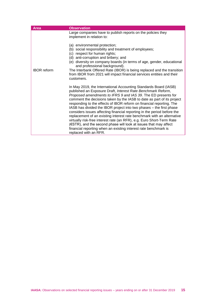| <b>Area</b>        | <b>Observation</b>                                                                                                                                                                                                                                                                                                                                                                                                                                                                                                                                                                                                                                                                                                                                                                                                          |
|--------------------|-----------------------------------------------------------------------------------------------------------------------------------------------------------------------------------------------------------------------------------------------------------------------------------------------------------------------------------------------------------------------------------------------------------------------------------------------------------------------------------------------------------------------------------------------------------------------------------------------------------------------------------------------------------------------------------------------------------------------------------------------------------------------------------------------------------------------------|
|                    | Large companies have to publish reports on the policies they<br>implement in relation to:                                                                                                                                                                                                                                                                                                                                                                                                                                                                                                                                                                                                                                                                                                                                   |
| <b>IBOR</b> reform | (a) environmental protection;<br>(b) social responsibility and treatment of employees;<br>(c) respect for human rights;<br>(d) anti-corruption and bribery; and<br>(e) diversity on company boards (in terms of age, gender, educational<br>and professional background).<br>The Interbank Offered Rate (IBOR) is being replaced and the transition<br>from IBOR from 2021 will impact financial services entities and their<br>customers.                                                                                                                                                                                                                                                                                                                                                                                  |
|                    | In May 2019, the International Accounting Standards Board (IASB)<br>published an Exposure Draft, Interest Rate Benchmark Reform,<br>Proposed amendments to IFRS 9 and IAS 39. The ED presents for<br>comment the decisions taken by the IASB to date as part of its project<br>responding to the effects of IBOR reform on financial reporting. The<br>IASB has divided the IBOR project into two phases - the first phase<br>considers issues affecting financial reporting in the period before the<br>replacement of an existing interest rate benchmark with an alternative<br>virtually risk-free interest rate (an RFR), e.g. Euro Short-Term Rate<br>$(ESTR)$ , and the second phase will look at issues that may affect<br>financial reporting when an existing interest rate benchmark is<br>replaced with an RFR. |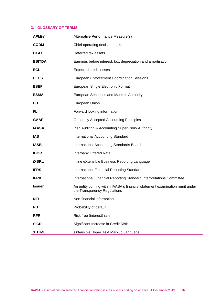# <span id="page-16-0"></span>**3. GLOSSARY OF TERMS**

| APM(s)        | Alternative Performance Measure(s)                                                                          |
|---------------|-------------------------------------------------------------------------------------------------------------|
| <b>CODM</b>   | Chief operating decision maker                                                                              |
| <b>DTAs</b>   | Deferred tax assets                                                                                         |
| <b>EBITDA</b> | Earnings before interest, tax, depreciation and amortisation                                                |
| <b>ECL</b>    | <b>Expected credit losses</b>                                                                               |
| <b>EECS</b>   | <b>European Enforcement Coordination Sessions</b>                                                           |
| <b>ESEF</b>   | European Single Electronic Format                                                                           |
| <b>ESMA</b>   | European Securities and Markets Authority                                                                   |
| EU            | European Union                                                                                              |
| <b>FLI</b>    | Forward looking information                                                                                 |
| <b>GAAP</b>   | <b>Generally Accepted Accounting Principles</b>                                                             |
| <b>IAASA</b>  | Irish Auditing & Accounting Supervisory Authority                                                           |
| <b>IAS</b>    | <b>International Accounting Standard</b>                                                                    |
| <b>IASB</b>   | International Accounting Standards Board                                                                    |
| <b>IBOR</b>   | <b>Interbank Offered Rate</b>                                                                               |
| <b>iXBRL</b>  | Inline eXtensible Business Reporting Language                                                               |
| <b>IFRS</b>   | International Financial Reporting Standard                                                                  |
| <b>IFRIC</b>  | International Financial Reporting Standard Interpretations Committee                                        |
| <b>Issuer</b> | An entity coming within IAASA's financial statement examination remit under<br>the Transparency Regulations |
| <b>NFI</b>    | Non-financial information                                                                                   |
| <b>PD</b>     | Probability of default                                                                                      |
| <b>RFR</b>    | Risk free (interest) rate                                                                                   |
| <b>SICR</b>   | Significant Increase in Credit Risk                                                                         |
| <b>XHTML</b>  | eXtensible Hyper Text Markup Language                                                                       |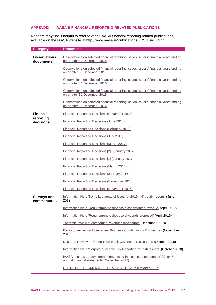# <span id="page-17-0"></span>**APPENDIX I – IAASA'S FINANCIAL REPORTING RELATED PUBLICATIONS**

Readers may find it helpful to refer to other IAASA financial reporting related publications, available on the IAASA website at http://www.iaasa.ie/Publications/FRSU, including:

| <b>Category</b>                    | <b>Document</b>                                                                                                            |
|------------------------------------|----------------------------------------------------------------------------------------------------------------------------|
| <b>Observations</b><br>documents   | Observations on selected financial reporting issues issuers' financial years ending<br>on or after 31 December 2018        |
|                                    | Observations on selected financial reporting issues issuers' financial years ending<br>on or after 31 December 2017        |
|                                    | Observations on selected financial reporting issues issuers' financial years ending<br>on or after 31 December 2016        |
|                                    | Observations on selected financial reporting issues issuers' financial years ending<br>on or after 31 December 2015        |
|                                    | Observations on selected financial reporting issues issuers' financial years ending<br>on or after 31 December 2014        |
| <b>Financial</b>                   | Financial Reporting Decisions (November 2018)                                                                              |
| reporting<br>decisions             | <b>Financial Reporting Decisions (June 2018)</b>                                                                           |
|                                    | <b>Financial Reporting Decisions (February 2018)</b>                                                                       |
|                                    | Financial Reporting Decisions (July 2017)                                                                                  |
|                                    | Financial Reporting Decisions (March 2017)                                                                                 |
|                                    | Financial Reporting Decisions [2] (January 2017)                                                                           |
|                                    | Financial Reporting Decisions [1] (January 2017)                                                                           |
|                                    | <b>Financial Reporting Decisions (March 2016)</b>                                                                          |
|                                    | Financial Reporting Decisions (January 2016)                                                                               |
|                                    | Financial Reporting Decisions (December 2015)                                                                              |
|                                    | <b>Financial Reporting Decisions (November 2015)</b>                                                                       |
| <b>Surveys and</b><br>commentaries | Information Note 'Some key areas of focus for 2019 half-yearly reports' (June<br>2019)                                     |
|                                    | Information Note 'Requirement to disclose disaggregated revenue' (April 2019)                                              |
|                                    | Information Note 'Requirement to disclose dividends proposed' (April 2019)                                                 |
|                                    | Thematic review of companies' revenues disclosures (December 2018)                                                         |
|                                    | Desk-top review on Companies' Business Combinations Disclosures (November<br>2018)                                         |
|                                    | Desk-top Review on Companies' Bank Covenants Disclosures (October 2018)                                                    |
|                                    | Information Note 'Corporate Income Tax Reporting by Irish Issuers' (October 2018)                                          |
|                                    | IAASA desktop survey: Impairment testing in Irish listed companies' 2016/17<br>annual financial statements (November 2017) |
|                                    | <b>OPERATING SEGMENTS - THEMATIC SURVEY (October 2017)</b>                                                                 |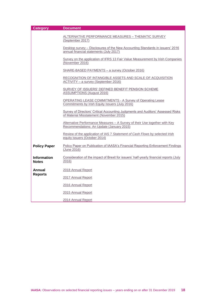| <b>Category</b>                    | <b>Document</b>                                                                                                             |
|------------------------------------|-----------------------------------------------------------------------------------------------------------------------------|
|                                    | ALTERNATIVE PERFORMANCE MEASURES - THEMATIC SURVEY<br>(September 2017)                                                      |
|                                    | Desktop survey - Disclosures of the New Accounting Standards in issuers' 2016<br>annual financial statements (July 2017)    |
|                                    | Survey on the application of IFRS 13 Fair Value Measurement by Irish Companies<br>(November 2016)                           |
|                                    | SHARE-BASED PAYMENTS - a survey (October 2016)                                                                              |
|                                    | RECOGNITION OF INTANGIBLE ASSETS AND SCALE OF ACQUISITION<br>ACTIVITY - a survey (September 2016)                           |
|                                    | SURVEY OF ISSUERS' DEFINED BENEFIT PENSION SCHEME<br><b>ASSUMPTIONS (August 2016)</b>                                       |
|                                    | <b>OPERATING LEASE COMMITMENTS - A Survey of Operating Lease</b><br>Commitments by Irish Equity Issuers (July 2016)         |
|                                    | Survey of Directors' Critical Accounting Judgments and Auditors' Assessed Risks<br>of Material Misstatement (November 2015) |
|                                    | Alternative Performance Measures - A Survey of their Use together with Key<br>Recommendations: An Update (January 2015)     |
|                                    | Review of the application of IAS 7 Statement of Cash Flows by selected Irish<br>equity issuers (October 2014)               |
| <b>Policy Paper</b>                | Policy Paper on Publication of IAASA's Financial Reporting Enforcement Findings<br>(June 2016)                              |
| <b>Information</b><br><b>Notes</b> | Consideration of the impact of Brexit for issuers' half-yearly financial reports (July<br>2016)                             |
| Annual                             | 2018 Annual Report                                                                                                          |
| <b>Reports</b>                     | 2017 Annual Report                                                                                                          |
|                                    | 2016 Annual Report                                                                                                          |
|                                    | 2015 Annual Report                                                                                                          |
|                                    | 2014 Annual Report                                                                                                          |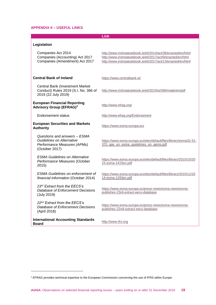### <span id="page-19-0"></span>**APPENDIX II – USEFUL LINKS**

**Link**

| Legislation |  |
|-------------|--|
|-------------|--|

1

| Companies Act 2014<br>Companies (Accounting) Act 2017<br>Companies (Amendment) Act 2017                           | http://www.irishstatutebook.ie/eli/2014/act/38/enacted/en/html<br>http://www.irishstatutebook.ie/eli/2017/act/9/enacted/en/html<br>http://www.irishstatutebook.ie/eli/2017/act/13/enacted/en/html |
|-------------------------------------------------------------------------------------------------------------------|---------------------------------------------------------------------------------------------------------------------------------------------------------------------------------------------------|
| Central Bank of Ireland                                                                                           | https://www.centralbank.ie/                                                                                                                                                                       |
| <b>Central Bank (Investment Market)</b><br>Conduct) Rules 2019 (S.I. No. 366 of<br>2019 (22 July 2019)            | http://www.irishstatutebook.ie/eli/2019/si/366/made/en/pdf                                                                                                                                        |
| <b>European Financial Reporting</b><br><b>Advisory Group (EFRAG)<sup>2</sup></b>                                  | http://www.efrag.org/                                                                                                                                                                             |
| <b>Endorsement status</b>                                                                                         | http://www.efrag.org/Endorsement                                                                                                                                                                  |
| <b>European Securities and Markets</b><br><b>Authority</b>                                                        | https://www.esma.europa.eu/                                                                                                                                                                       |
| Questions and answers - ESMA<br><b>Guidelines on Alternative</b><br>Performance Measures (APMs)<br>(October 2017) | https://www.esma.europa.eu/sites/default/files/library/esma32-51-<br>370 gas on esma guidelines on apms.pdf                                                                                       |
| <b>ESMA Guidelines on Alternative</b><br>Performance Measures (October<br>2015)                                   | https://www.esma.europa.eu/sites/default/files/library/2015/10/20<br>15-esma-1415en.pdf                                                                                                           |
| <b>ESMA Guidelines on enforcement of</b><br>financial information (October 2014)                                  | https://www.esma.europa.eu/sites/default/files/library/2015/11/20<br>14-esma-1293en.pdf                                                                                                           |
| 23rd Extract from the EECS's<br>Database of Enforcement Decisions<br>(July 2019)                                  | https://www.esma.europa.eu/press-news/esma-news/esma-<br>publishes-23rd-extract-eecs-database                                                                                                     |
| 22nd Extract from the EECS's<br>Database of Enforcement Decisions<br>(April 2018)                                 | https://www.esma.europa.eu/press-news/esma-news/esma-<br>publishes-22nd-extract-eecs-database                                                                                                     |
| <b>International Accounting Standards</b><br>Board                                                                | http://www.ifrs.org                                                                                                                                                                               |

<sup>2</sup> EFRAG provides technical expertise to the European Commission concerning the use of IFRS within Europe